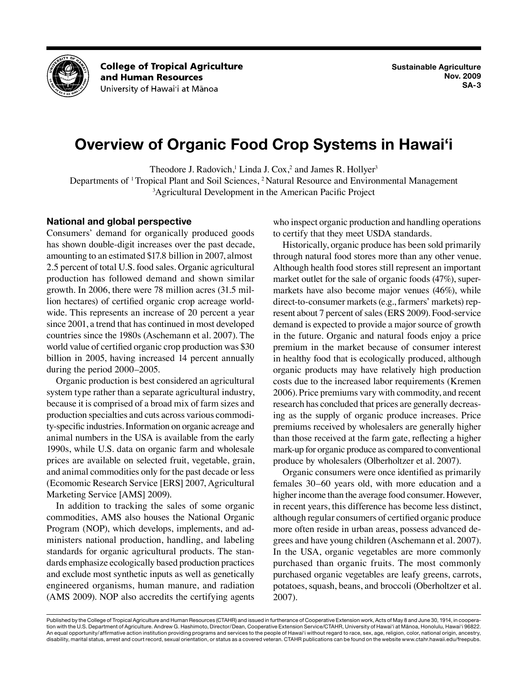

**College of Tropical Agriculture** and Human Resources University of Hawai'i at Mānoa

# **Overview of Organic Food Crop Systems in Hawai'i**

Theodore J. Radovich,<sup>1</sup> Linda J. Cox,<sup>2</sup> and James R. Hollyer<sup>3</sup>

Departments of <sup>1</sup> Tropical Plant and Soil Sciences, <sup>2</sup> Natural Resource and Environmental Management 3 Agricultural Development in the American Pacific Project

#### **National and global perspective**

Consumers' demand for organically produced goods has shown double-digit increases over the past decade, amounting to an estimated \$17.8 billion in 2007, almost 2.5 percent of total U.S. food sales. Organic agricultural production has followed demand and shown similar growth. In 2006, there were 78 million acres (31.5 million hectares) of certified organic crop acreage worldwide. This represents an increase of 20 percent a year since 2001, a trend that has continued in most developed countries since the 1980s (Aschemann et al. 2007). The world value of certified organic crop production was \$30 billion in 2005, having increased 14 percent annually during the period 2000–2005.

Organic production is best considered an agricultural system type rather than a separate agricultural industry, because it is comprised of a broad mix of farm sizes and production specialties and cuts across various commodity-specific industries. Information on organic acreage and animal numbers in the USA is available from the early 1990s, while U.S. data on organic farm and wholesale prices are available on selected fruit, vegetable, grain, and animal commodities only for the past decade or less (Ecomomic Research Service [ERS] 2007, Agricultural Marketing Service [AMS] 2009).

In addition to tracking the sales of some organic commodities, AMS also houses the National Organic Program (NOP), which develops, implements, and administers national production, handling, and labeling standards for organic agricultural products. The standards emphasize ecologically based production practices and exclude most synthetic inputs as well as genetically engineered organisms, human manure, and radiation (AMS 2009). NOP also accredits the certifying agents

who inspect organic production and handling operations to certify that they meet USDA standards.

Historically, organic produce has been sold primarily through natural food stores more than any other venue. Although health food stores still represent an important market outlet for the sale of organic foods (47%), supermarkets have also become major venues (46%), while direct-to-consumer markets (e.g., farmers' markets) represent about 7 percent of sales (ERS 2009). Food-service demand is expected to provide a major source of growth in the future. Organic and natural foods enjoy a price premium in the market because of consumer interest in healthy food that is ecologically produced, although organic products may have relatively high production costs due to the increased labor requirements (Kremen 2006). Price premiums vary with commodity, and recent research has concluded that prices are generally decreasing as the supply of organic produce increases. Price premiums received by wholesalers are generally higher than those received at the farm gate, reflecting a higher mark-up for organic produce as compared to conventional produce by wholesalers (Olberholtzer et al. 2007).

Organic consumers were once identified as primarily females 30–60 years old, with more education and a higher income than the average food consumer. However, in recent years, this difference has become less distinct, although regular consumers of certified organic produce more often reside in urban areas, possess advanced degrees and have young children (Aschemann et al. 2007). In the USA, organic vegetables are more commonly purchased than organic fruits. The most commonly purchased organic vegetables are leafy greens, carrots, potatoes, squash, beans, and broccoli (Oberholtzer et al. 2007).

Published by the College of Tropical Agriculture and Human Resources (CTAHR) and issued in furtherance of Cooperative Extension work, Acts of May 8 and June 30, 1914, in cooperation with the U.S. Department of Agriculture. Andrew G. Hashimoto, Director/Dean, Cooperative Extension Service/CTAHR, University of Hawai'i at Mänoa, Honolulu, Hawai'i 96822. An equal opportunity/affirmative action institution providing programs and services to the people of Hawai'i without regard to race, sex, age, religion, color, national origin, ancestry, disability, marital status, arrest and court record, sexual orientation, or status as a covered veteran. CTAHR publications can be found on the website www.ctahr.hawaii.edu/freepubs.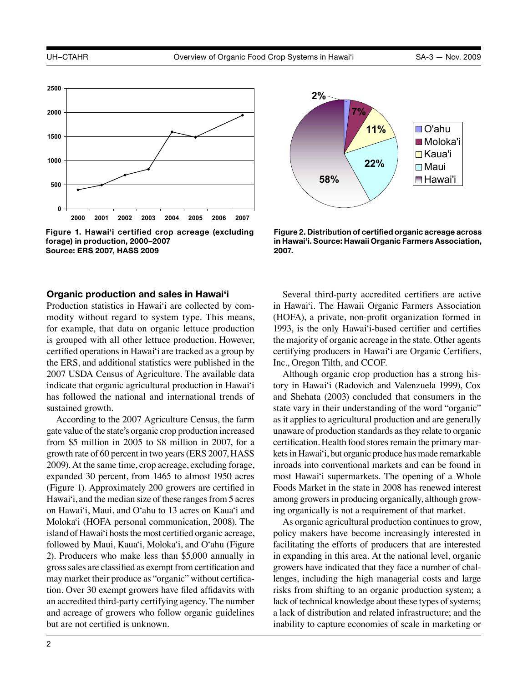

**Figure 1. Hawai'i certified crop acreage (excluding forage) in production, 2000–2007 Source: ERS 2007, HASS 2009**

#### **Organic production and sales in Hawai'i**

Production statistics in Hawai'i are collected by commodity without regard to system type. This means, for example, that data on organic lettuce production is grouped with all other lettuce production. However, certified operations in Hawai'i are tracked as a group by the ERS, and additional statistics were published in the 2007 USDA Census of Agriculture. The available data indicate that organic agricultural production in Hawai'i has followed the national and international trends of sustained growth.

According to the 2007 Agriculture Census, the farm gate value of the state's organic crop production increased from \$5 million in 2005 to \$8 million in 2007, for a growth rate of 60 percent in two years (ERS 2007, HASS 2009). At the same time, crop acreage, excluding forage, expanded 30 percent, from 1465 to almost 1950 acres (Figure 1). Approximately 200 growers are certified in Hawai'i, and the median size of these ranges from 5 acres on Hawai'i, Maui, and O'ahu to 13 acres on Kaua'i and Moloka'i (HOFA personal communication, 2008). The island of Hawai'i hosts the most certified organic acreage, followed by Maui, Kaua'i, Moloka'i, and O'ahu (Figure 2). Producers who make less than \$5,000 annually in gross sales are classified as exempt from certification and may market their produce as "organic" without certification. Over 30 exempt growers have filed affidavits with an accredited third-party certifying agency. The number and acreage of growers who follow organic guidelines but are not certified is unknown.



**Figure 2. Distribution of certified organic acreage across in Hawai'i. Source: Hawaii Organic Farmers Association, 2007.**

Several third-party accredited certifiers are active in Hawai'i. The Hawaii Organic Farmers Association (HOFA), a private, non-profit organization formed in 1993, is the only Hawai'i-based certifier and certifies the majority of organic acreage in the state. Other agents certifying producers in Hawai'i are Organic Certifiers, Inc., Oregon Tilth, and CCOF.

Although organic crop production has a strong history in Hawai'i (Radovich and Valenzuela 1999), Cox and Shehata (2003) concluded that consumers in the state vary in their understanding of the word "organic" as it applies to agricultural production and are generally unaware of production standards as they relate to organic certification. Health food stores remain the primary markets in Hawai'i, but organic produce has made remarkable inroads into conventional markets and can be found in most Hawai'i supermarkets. The opening of a Whole Foods Market in the state in 2008 has renewed interest among growers in producing organically, although growing organically is not a requirement of that market.

As organic agricultural production continues to grow, policy makers have become increasingly interested in facilitating the efforts of producers that are interested in expanding in this area. At the national level, organic growers have indicated that they face a number of challenges, including the high managerial costs and large risks from shifting to an organic production system; a lack of technical knowledge about these types of systems; a lack of distribution and related infrastructure; and the inability to capture economies of scale in marketing or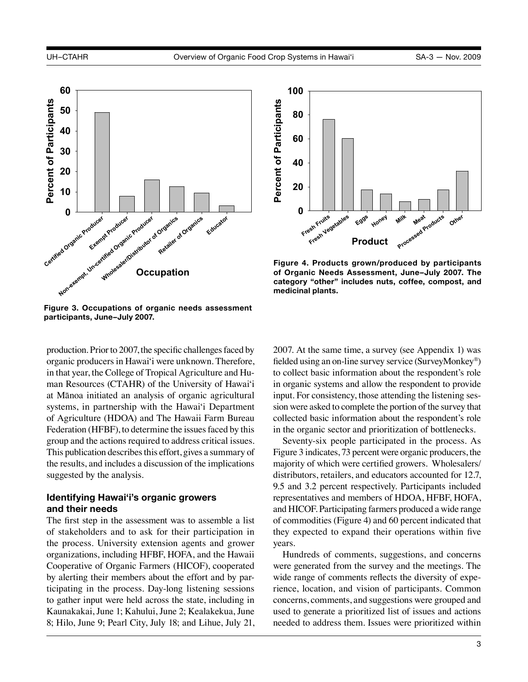

**Figure 3. Occupations of organic needs assessment participants, June–July 2007.**

production. Prior to 2007, the specific challenges faced by organic producers in Hawai'i were unknown. Therefore, in that year, the College of Tropical Agriculture and Human Resources (CTAHR) of the University of Hawai'i at Mānoa initiated an analysis of organic agricultural systems, in partnership with the Hawai'i Department of Agriculture (HDOA) and The Hawaii Farm Bureau Federation (HFBF), to determine the issues faced by this group and the actions required to address critical issues. This publication describes this effort, gives a summary of the results, and includes a discussion of the implications suggested by the analysis.

## **Identifying Hawai'i's organic growers and their needs**

The first step in the assessment was to assemble a list of stakeholders and to ask for their participation in the process. University extension agents and grower organizations, including HFBF, HOFA, and the Hawaii Cooperative of Organic Farmers (HICOF), cooperated by alerting their members about the effort and by participating in the process. Day-long listening sessions to gather input were held across the state, including in Kaunakakai, June 1; Kahului, June 2; Kealakekua, June 8; Hilo, June 9; Pearl City, July 18; and Lihue, July 21,



**Figure 4. Products grown/produced by participants of Organic Needs Assessment, June–July 2007. The category "other" includes nuts, coffee, compost, and medicinal plants.**

2007. At the same time, a survey (see Appendix 1) was fielded using an on-line survey service (SurveyMonkey®) to collect basic information about the respondent's role in organic systems and allow the respondent to provide input. For consistency, those attending the listening session were asked to complete the portion of the survey that collected basic information about the respondent's role in the organic sector and prioritization of bottlenecks.

Seventy-six people participated in the process. As Figure 3 indicates, 73 percent were organic producers, the majority of which were certified growers. Wholesalers/ distributors, retailers, and educators accounted for 12.7, 9.5 and 3.2 percent respectively. Participants included representatives and members of HDOA, HFBF, HOFA, and HICOF. Participating farmers produced a wide range of commodities (Figure 4) and 60 percent indicated that they expected to expand their operations within five years.

Hundreds of comments, suggestions, and concerns were generated from the survey and the meetings. The wide range of comments reflects the diversity of experience, location, and vision of participants. Common concerns, comments, and suggestions were grouped and used to generate a prioritized list of issues and actions needed to address them. Issues were prioritized within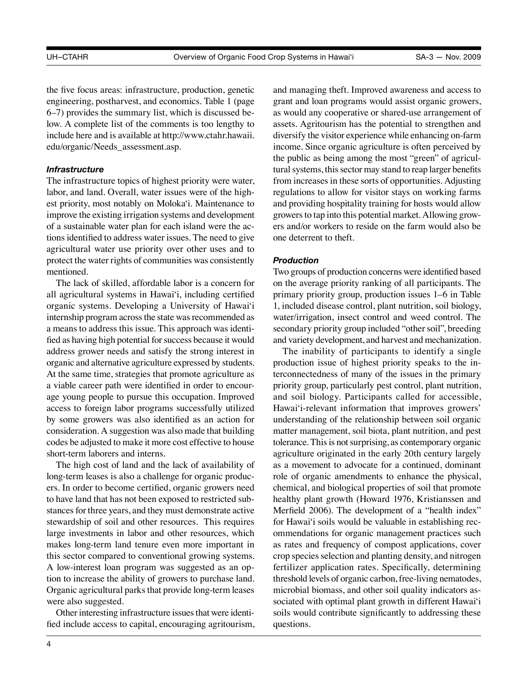the five focus areas: infrastructure, production, genetic engineering, postharvest, and economics. Table 1 (page 6–7) provides the summary list, which is discussed below. A complete list of the comments is too lengthy to include here and is available at [http://www.ctahr.hawaii.](http://www.ctahr.hawaii.edu/organic/Needs_assessment.asp) [edu/organic/Needs\\_assessment.asp](http://www.ctahr.hawaii.edu/organic/Needs_assessment.asp).

#### *Infrastructure*

The infrastructure topics of highest priority were water, labor, and land. Overall, water issues were of the highest priority, most notably on Moloka'i. Maintenance to improve the existing irrigation systems and development of a sustainable water plan for each island were the actions identified to address water issues. The need to give agricultural water use priority over other uses and to protect the water rights of communities was consistently mentioned.

The lack of skilled, affordable labor is a concern for all agricultural systems in Hawai'i, including certified organic systems. Developing a University of Hawai'i internship program across the state was recommended as a means to address this issue. This approach was identified as having high potential for success because it would address grower needs and satisfy the strong interest in organic and alternative agriculture expressed by students. At the same time, strategies that promote agriculture as a viable career path were identified in order to encourage young people to pursue this occupation. Improved access to foreign labor programs successfully utilized by some growers was also identified as an action for consideration. A suggestion was also made that building codes be adjusted to make it more cost effective to house short-term laborers and interns.

The high cost of land and the lack of availability of long-term leases is also a challenge for organic producers. In order to become certified, organic growers need to have land that has not been exposed to restricted substances for three years, and they must demonstrate active stewardship of soil and other resources. This requires large investments in labor and other resources, which makes long-term land tenure even more important in this sector compared to conventional growing systems. A low-interest loan program was suggested as an option to increase the ability of growers to purchase land. Organic agricultural parks that provide long-term leases were also suggested.

Other interesting infrastructure issues that were identified include access to capital, encouraging agritourism, and managing theft. Improved awareness and access to grant and loan programs would assist organic growers, as would any cooperative or shared-use arrangement of assets. Agritourism has the potential to strengthen and diversify the visitor experience while enhancing on-farm income. Since organic agriculture is often perceived by the public as being among the most "green" of agricultural systems, this sector may stand to reap larger benefits from increases in these sorts of opportunities. Adjusting regulations to allow for visitor stays on working farms and providing hospitality training for hosts would allow growers to tap into this potential market. Allowing growers and/or workers to reside on the farm would also be one deterrent to theft.

## *Production*

Two groups of production concerns were identified based on the average priority ranking of all participants. The primary priority group, production issues 1–6 in Table 1, included disease control, plant nutrition, soil biology, water/irrigation, insect control and weed control. The secondary priority group included "other soil", breeding and variety development, and harvest and mechanization.

The inability of participants to identify a single production issue of highest priority speaks to the interconnectedness of many of the issues in the primary priority group, particularly pest control, plant nutrition, and soil biology. Participants called for accessible, Hawai'i-relevant information that improves growers' understanding of the relationship between soil organic matter management, soil biota, plant nutrition, and pest tolerance. This is not surprising, as contemporary organic agriculture originated in the early 20th century largely as a movement to advocate for a continued, dominant role of organic amendments to enhance the physical, chemical, and biological properties of soil that promote healthy plant growth (Howard 1976, Kristianssen and Merfield 2006). The development of a "health index" for Hawai'i soils would be valuable in establishing recommendations for organic management practices such as rates and frequency of compost applications, cover crop species selection and planting density, and nitrogen fertilizer application rates. Specifically, determining threshold levels of organic carbon, free-living nematodes, microbial biomass, and other soil quality indicators associated with optimal plant growth in different Hawai'i soils would contribute significantly to addressing these questions.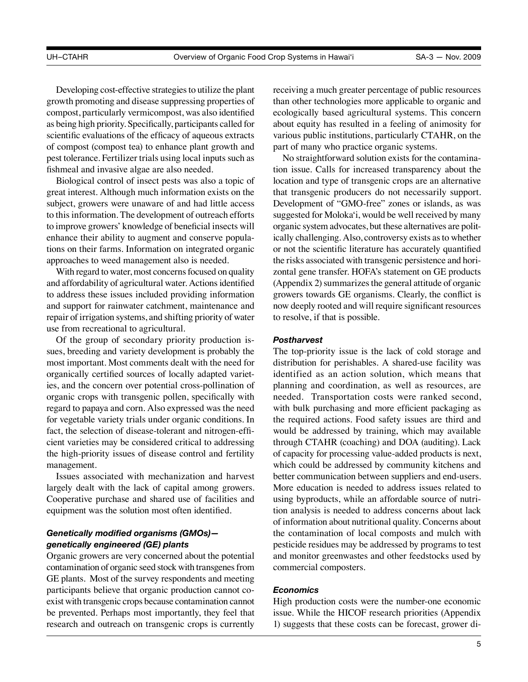Developing cost-effective strategies to utilize the plant growth promoting and disease suppressing properties of compost, particularly vermicompost, was also identified as being high priority. Specifically, participants called for scientific evaluations of the efficacy of aqueous extracts of compost (compost tea) to enhance plant growth and pest tolerance. Fertilizer trials using local inputs such as fishmeal and invasive algae are also needed.

Biological control of insect pests was also a topic of great interest. Although much information exists on the subject, growers were unaware of and had little access to this information. The development of outreach efforts to improve growers' knowledge of beneficial insects will enhance their ability to augment and conserve populations on their farms. Information on integrated organic approaches to weed management also is needed.

With regard to water, most concerns focused on quality and affordability of agricultural water. Actions identified to address these issues included providing information and support for rainwater catchment, maintenance and repair of irrigation systems, and shifting priority of water use from recreational to agricultural.

Of the group of secondary priority production issues, breeding and variety development is probably the most important. Most comments dealt with the need for organically certified sources of locally adapted varieties, and the concern over potential cross-pollination of organic crops with transgenic pollen, specifically with regard to papaya and corn. Also expressed was the need for vegetable variety trials under organic conditions. In fact, the selection of disease-tolerant and nitrogen-efficient varieties may be considered critical to addressing the high-priority issues of disease control and fertility management.

Issues associated with mechanization and harvest largely dealt with the lack of capital among growers. Cooperative purchase and shared use of facilities and equipment was the solution most often identified.

# *Genetically modified organisms (GMOs) genetically engineered (GE) plants*

Organic growers are very concerned about the potential contamination of organic seed stock with transgenes from GE plants. Most of the survey respondents and meeting participants believe that organic production cannot coexist with transgenic crops because contamination cannot be prevented. Perhaps most importantly, they feel that research and outreach on transgenic crops is currently

receiving a much greater percentage of public resources than other technologies more applicable to organic and ecologically based agricultural systems. This concern about equity has resulted in a feeling of animosity for various public institutions, particularly CTAHR, on the part of many who practice organic systems.

No straightforward solution exists for the contamination issue. Calls for increased transparency about the location and type of transgenic crops are an alternative that transgenic producers do not necessarily support. Development of "GMO-free" zones or islands, as was suggested for Moloka'i, would be well received by many organic system advocates, but these alternatives are politically challenging. Also, controversy exists as to whether or not the scientific literature has accurately quantified the risks associated with transgenic persistence and horizontal gene transfer. HOFA's statement on GE products (Appendix 2) summarizes the general attitude of organic growers towards GE organisms. Clearly, the conflict is now deeply rooted and will require significant resources to resolve, if that is possible.

#### *Postharvest*

The top-priority issue is the lack of cold storage and distribution for perishables. A shared-use facility was identified as an action solution, which means that planning and coordination, as well as resources, are needed. Transportation costs were ranked second, with bulk purchasing and more efficient packaging as the required actions. Food safety issues are third and would be addressed by training, which may available through CTAHR (coaching) and DOA (auditing). Lack of capacity for processing value-added products is next, which could be addressed by community kitchens and better communication between suppliers and end-users. More education is needed to address issues related to using byproducts, while an affordable source of nutrition analysis is needed to address concerns about lack of information about nutritional quality. Concerns about the contamination of local composts and mulch with pesticide residues may be addressed by programs to test and monitor greenwastes and other feedstocks used by commercial composters.

#### *Economics*

High production costs were the number-one economic issue. While the HICOF research priorities (Appendix 1) suggests that these costs can be forecast, grower di-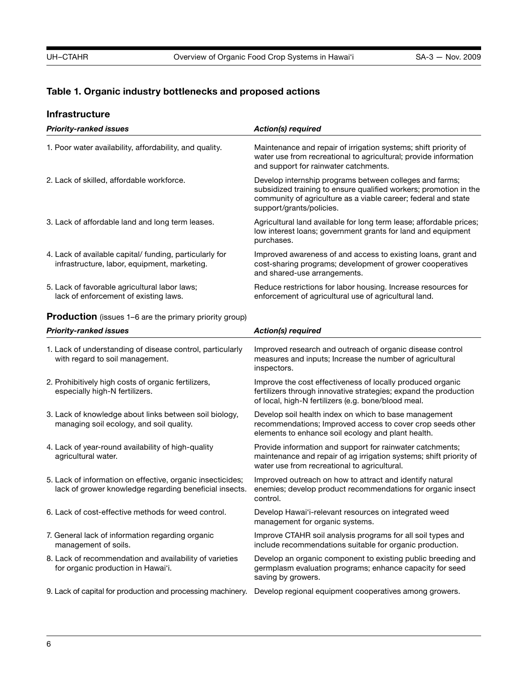# **Table 1. Organic industry bottlenecks and proposed actions**

# **Infrastructure**

| <b>Priority-ranked issues</b>                                                                                        | <b>Action(s) required</b>                                                                                                                                                                                                  |
|----------------------------------------------------------------------------------------------------------------------|----------------------------------------------------------------------------------------------------------------------------------------------------------------------------------------------------------------------------|
| 1. Poor water availability, affordability, and quality.                                                              | Maintenance and repair of irrigation systems; shift priority of<br>water use from recreational to agricultural; provide information<br>and support for rainwater catchments.                                               |
| 2. Lack of skilled, affordable workforce.                                                                            | Develop internship programs between colleges and farms;<br>subsidized training to ensure qualified workers; promotion in the<br>community of agriculture as a viable career; federal and state<br>support/grants/policies. |
| 3. Lack of affordable land and long term leases.                                                                     | Agricultural land available for long term lease; affordable prices;<br>low interest loans; government grants for land and equipment<br>purchases.                                                                          |
| 4. Lack of available capital/ funding, particularly for<br>infrastructure, labor, equipment, marketing.              | Improved awareness of and access to existing loans, grant and<br>cost-sharing programs; development of grower cooperatives<br>and shared-use arrangements.                                                                 |
| 5. Lack of favorable agricultural labor laws;<br>lack of enforcement of existing laws.                               | Reduce restrictions for labor housing. Increase resources for<br>enforcement of agricultural use of agricultural land.                                                                                                     |
| Production (issues 1-6 are the primary priority group)                                                               |                                                                                                                                                                                                                            |
| <b>Priority-ranked issues</b>                                                                                        | <b>Action(s) required</b>                                                                                                                                                                                                  |
| 1. Lack of understanding of disease control, particularly<br>with regard to soil management.                         | Improved research and outreach of organic disease control<br>measures and inputs; Increase the number of agricultural<br>inspectors.                                                                                       |
| 2. Prohibitively high costs of organic fertilizers,<br>especially high-N fertilizers.                                | Improve the cost effectiveness of locally produced organic<br>fertilizers through innovative strategies; expand the production<br>of local, high-N fertilizers (e.g. bone/blood meal.                                      |
| 3. Lack of knowledge about links between soil biology,<br>managing soil ecology, and soil quality.                   | Develop soil health index on which to base management<br>recommendations; Improved access to cover crop seeds other<br>elements to enhance soil ecology and plant health.                                                  |
| 4. Lack of year-round availability of high-quality<br>agricultural water.                                            | Provide information and support for rainwater catchments;<br>maintenance and repair of ag irrigation systems; shift priority of<br>water use from recreational to agricultural.                                            |
| 5. Lack of information on effective, organic insecticides;<br>lack of grower knowledge regarding beneficial insects. | Improved outreach on how to attract and identify natural<br>enemies; develop product recommendations for organic insect<br>control.                                                                                        |
| 6. Lack of cost-effective methods for weed control.                                                                  | Develop Hawai'i-relevant resources on integrated weed<br>management for organic systems.                                                                                                                                   |
| 7. General lack of information regarding organic<br>management of soils.                                             | Improve CTAHR soil analysis programs for all soil types and<br>include recommendations suitable for organic production.                                                                                                    |
| 8. Lack of recommendation and availability of varieties<br>for organic production in Hawai'i.                        | Develop an organic component to existing public breeding and<br>germplasm evaluation programs; enhance capacity for seed<br>saving by growers.                                                                             |
| 9. Lack of capital for production and processing machinery.                                                          | Develop regional equipment cooperatives among growers.                                                                                                                                                                     |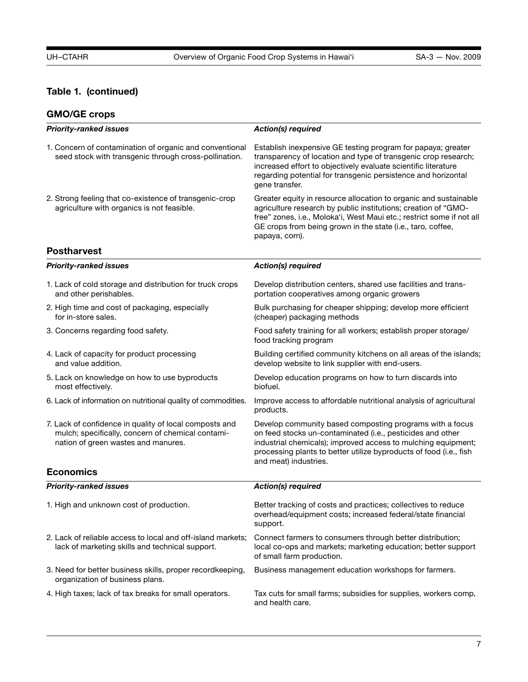# **Table 1. (continued)**

# **GMO/GE crops**

| <b>Priority-ranked issues</b>                                                                                                                      | <b>Action(s) required</b>                                                                                                                                                                                                                                                                    |  |  |  |
|----------------------------------------------------------------------------------------------------------------------------------------------------|----------------------------------------------------------------------------------------------------------------------------------------------------------------------------------------------------------------------------------------------------------------------------------------------|--|--|--|
| 1. Concern of contamination of organic and conventional<br>seed stock with transgenic through cross-pollination.                                   | Establish inexpensive GE testing program for papaya; greater<br>transparency of location and type of transgenic crop research;<br>increased effort to objectively evaluate scientific literature<br>regarding potential for transgenic persistence and horizontal<br>gene transfer.          |  |  |  |
| 2. Strong feeling that co-existence of transgenic-crop<br>agriculture with organics is not feasible.                                               | Greater equity in resource allocation to organic and sustainable<br>agriculture research by public institutions; creation of "GMO-<br>free" zones, i.e., Moloka'i, West Maui etc.; restrict some if not all<br>GE crops from being grown in the state (i.e., taro, coffee,<br>papaya, corn). |  |  |  |
| <b>Postharvest</b>                                                                                                                                 |                                                                                                                                                                                                                                                                                              |  |  |  |
| <b>Priority-ranked issues</b>                                                                                                                      | <b>Action(s) required</b>                                                                                                                                                                                                                                                                    |  |  |  |
| 1. Lack of cold storage and distribution for truck crops<br>and other perishables.                                                                 | Develop distribution centers, shared use facilities and trans-<br>portation cooperatives among organic growers                                                                                                                                                                               |  |  |  |
| 2. High time and cost of packaging, especially<br>for in-store sales.                                                                              | Bulk purchasing for cheaper shipping; develop more efficient<br>(cheaper) packaging methods                                                                                                                                                                                                  |  |  |  |
| 3. Concerns regarding food safety.                                                                                                                 | Food safety training for all workers; establish proper storage/<br>food tracking program                                                                                                                                                                                                     |  |  |  |
| 4. Lack of capacity for product processing<br>and value addition.                                                                                  | Building certified community kitchens on all areas of the islands;<br>develop website to link supplier with end-users.                                                                                                                                                                       |  |  |  |
| 5. Lack on knowledge on how to use byproducts<br>most effectively.                                                                                 | Develop education programs on how to turn discards into<br>biofuel.                                                                                                                                                                                                                          |  |  |  |
| 6. Lack of information on nutritional quality of commodities.                                                                                      | Improve access to affordable nutritional analysis of agricultural<br>products.                                                                                                                                                                                                               |  |  |  |
| 7. Lack of confidence in quality of local composts and<br>mulch; specifically, concern of chemical contami-<br>nation of green wastes and manures. | Develop community based composting programs with a focus<br>on feed stocks un-contaminated (i.e., pesticides and other<br>industrial chemicals); improved access to mulching equipment;<br>processing plants to better utilize byproducts of food (i.e., fish<br>and meat) industries.       |  |  |  |
| <b>Economics</b>                                                                                                                                   |                                                                                                                                                                                                                                                                                              |  |  |  |
| <b>Priority-ranked issues</b>                                                                                                                      | <b>Action(s) required</b>                                                                                                                                                                                                                                                                    |  |  |  |
| 1. High and unknown cost of production.                                                                                                            | Better tracking of costs and practices; collectives to reduce<br>overhead/equipment costs; increased federal/state financial<br>support.                                                                                                                                                     |  |  |  |
| 2. Lack of reliable access to local and off-island markets;<br>lack of marketing skills and technical support.                                     | Connect farmers to consumers through better distribution;<br>local co-ops and markets; marketing education; better support<br>of small farm production.                                                                                                                                      |  |  |  |
| 3. Need for better business skills, proper recordkeeping,<br>organization of business plans.                                                       | Business management education workshops for farmers.                                                                                                                                                                                                                                         |  |  |  |
| 4. High taxes; lack of tax breaks for small operators.                                                                                             | Tax cuts for small farms; subsidies for supplies, workers comp,<br>and health care.                                                                                                                                                                                                          |  |  |  |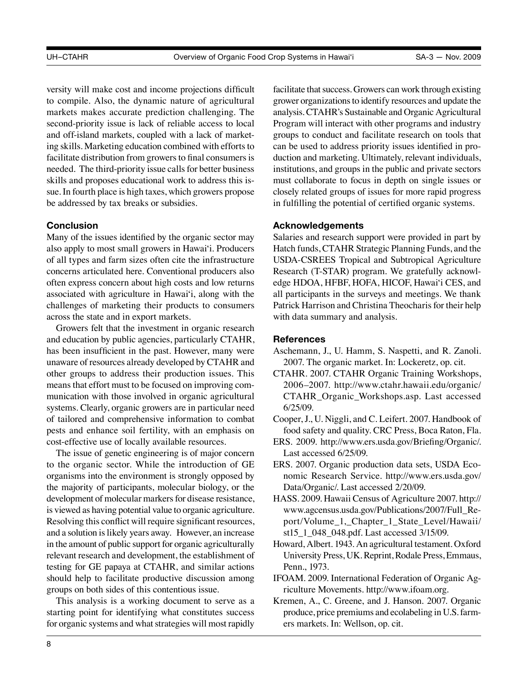versity will make cost and income projections difficult to compile. Also, the dynamic nature of agricultural markets makes accurate prediction challenging. The second-priority issue is lack of reliable access to local and off-island markets, coupled with a lack of marketing skills. Marketing education combined with efforts to facilitate distribution from growers to final consumers is needed. The third-priority issue calls for better business skills and proposes educational work to address this issue. In fourth place is high taxes, which growers propose be addressed by tax breaks or subsidies.

#### **Conclusion**

Many of the issues identified by the organic sector may also apply to most small growers in Hawai'i. Producers of all types and farm sizes often cite the infrastructure concerns articulated here. Conventional producers also often express concern about high costs and low returns associated with agriculture in Hawai'i, along with the challenges of marketing their products to consumers across the state and in export markets.

Growers felt that the investment in organic research and education by public agencies, particularly CTAHR, has been insufficient in the past. However, many were unaware of resources already developed by CTAHR and other groups to address their production issues. This means that effort must to be focused on improving communication with those involved in organic agricultural systems. Clearly, organic growers are in particular need of tailored and comprehensive information to combat pests and enhance soil fertility, with an emphasis on cost-effective use of locally available resources.

The issue of genetic engineering is of major concern to the organic sector. While the introduction of GE organisms into the environment is strongly opposed by the majority of participants, molecular biology, or the development of molecular markers for disease resistance, is viewed as having potential value to organic agriculture. Resolving this conflict will require significant resources, and a solution is likely years away. However, an increase in the amount of public support for organic agriculturally relevant research and development, the establishment of testing for GE papaya at CTAHR, and similar actions should help to facilitate productive discussion among groups on both sides of this contentious issue.

This analysis is a working document to serve as a starting point for identifying what constitutes success for organic systems and what strategies will most rapidly

facilitate that success. Growers can work through existing grower organizations to identify resources and update the analysis. CTAHR's Sustainable and Organic Agricultural Program will interact with other programs and industry groups to conduct and facilitate research on tools that can be used to address priority issues identified in production and marketing. Ultimately, relevant individuals, institutions, and groups in the public and private sectors must collaborate to focus in depth on single issues or closely related groups of issues for more rapid progress in fulfilling the potential of certified organic systems.

#### **Acknowledgements**

Salaries and research support were provided in part by Hatch funds, CTAHR Strategic Planning Funds, and the USDA-CSREES Tropical and Subtropical Agriculture Research (T-STAR) program. We gratefully acknowledge HDOA, HFBF, HOFA, HICOF, Hawai'i CES, and all participants in the surveys and meetings. We thank Patrick Harrison and Christina Theocharis for their help with data summary and analysis.

#### **References**

- Aschemann, J., U. Hamm, S. Naspetti, and R. Zanoli. 2007. The organic market. In: Lockeretz, op. cit.
- CTAHR. 2007. CTAHR Organic Training Workshops, 2006–2007. [http://www.ctahr.hawaii.edu/organic/](http://www.ctahr.hawaii.edu/organic/CTAHR_Organic_Workshops.asp) [CTAHR\\_Organic\\_Workshops.asp](http://www.ctahr.hawaii.edu/organic/CTAHR_Organic_Workshops.asp). Last accessed 6/25/09.
- Cooper, J., U. Niggli, and C. Leifert. 2007. Handbook of food safety and quality. CRC Press, Boca Raton, Fla.
- ERS. 2009. <http://www.ers.usda.gov/Briefing/Organic/>. Last accessed 6/25/09.
- ERS. 2007. Organic production data sets, USDA Economic Research Service. [http://www.ers.usda.gov/](http://www.ers.usda.gov/Data/Organic/) [Data/Organic/.](http://www.ers.usda.gov/Data/Organic/) Last accessed 2/20/09.
- HASS. 2009. Hawaii Census of Agriculture 2007. [http://](http://www.agcensus.usda.gov/Publications/2007/Full_Report/Volume_1,_Chapter_1_State_Level/Hawaii/st15_1_048_048.pdf) [www.agcensus.usda.gov/Publications/2007/Full\\_Re](http://www.agcensus.usda.gov/Publications/2007/Full_Report/Volume_1,_Chapter_1_State_Level/Hawaii/st15_1_048_048.pdf)[port/Volume\\_1,\\_Chapter\\_1\\_State\\_Level/Hawaii/](http://www.agcensus.usda.gov/Publications/2007/Full_Report/Volume_1,_Chapter_1_State_Level/Hawaii/st15_1_048_048.pdf) [st15\\_1\\_048\\_048.pdf.](http://www.agcensus.usda.gov/Publications/2007/Full_Report/Volume_1,_Chapter_1_State_Level/Hawaii/st15_1_048_048.pdf) Last accessed 3/15/09.
- Howard, Albert. 1943. An agricultural testament. Oxford University Press, UK. Reprint, Rodale Press, Emmaus, Penn., 1973.
- IFOAM. 2009. International Federation of Organic Agriculture Movements. [http://www.ifoam.org.](http://www.ifoam.org)
- Kremen, A., C. Greene, and J. Hanson. 2007. Organic produce, price premiums and ecolabeling in U.S. farmers markets. In: Wellson, op. cit.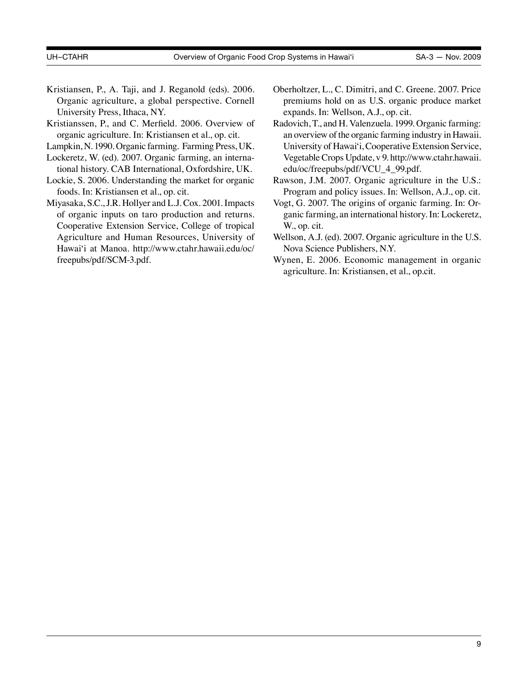- Kristiansen, P., A. Taji, and J. Reganold (eds). 2006. Organic agriculture, a global perspective. Cornell University Press, Ithaca, NY.
- Kristianssen, P., and C. Merfield. 2006. Overview of organic agriculture. In: Kristiansen et al., op. cit.
- Lampkin, N. 1990. Organic farming. Farming Press, UK.
- Lockeretz, W. (ed). 2007. Organic farming, an international history. CAB International, Oxfordshire, UK.
- Lockie, S. 2006. Understanding the market for organic foods. In: Kristiansen et al., op. cit.
- Miyasaka, S.C., J.R. Hollyer and L.J. Cox. 2001. Impacts of organic inputs on taro production and returns. Cooperative Extension Service, College of tropical Agriculture and Human Resources, University of Hawai'i at Manoa. [http://www.ctahr.hawaii.edu/oc/](http://www.ctahr.hawaii.edu/oc/freepubs/pdf/SCM-3.pdf) [freepubs/pdf/SCM-3.pdf](http://www.ctahr.hawaii.edu/oc/freepubs/pdf/SCM-3.pdf).
- Oberholtzer, L., C. Dimitri, and C. Greene. 2007. Price premiums hold on as U.S. organic produce market expands. In: Wellson, A.J., op. cit.
- Radovich, T., and H. Valenzuela. 1999. Organic farming: an overview of the organic farming industry in Hawaii. University of Hawai'i, Cooperative Extension Service, Vegetable Crops Update, v 9. [http://www.ctahr.hawaii.](http://www.ctahr.hawaii.edu/oc/freepubs/pdf/VCU_4_99.pdf) [edu/oc/freepubs/pdf/VCU\\_4\\_99.pdf.](http://www.ctahr.hawaii.edu/oc/freepubs/pdf/VCU_4_99.pdf)
- Rawson, J.M. 2007. Organic agriculture in the U.S.: Program and policy issues. In: Wellson, A.J., op. cit.
- Vogt, G. 2007. The origins of organic farming. In: Organic farming, an international history. In: Lockeretz, W., op. cit.
- Wellson, A.J. (ed). 2007. Organic agriculture in the U.S. Nova Science Publishers, N.Y.
- Wynen, E. 2006. Economic management in organic agriculture. In: Kristiansen, et al., op.cit.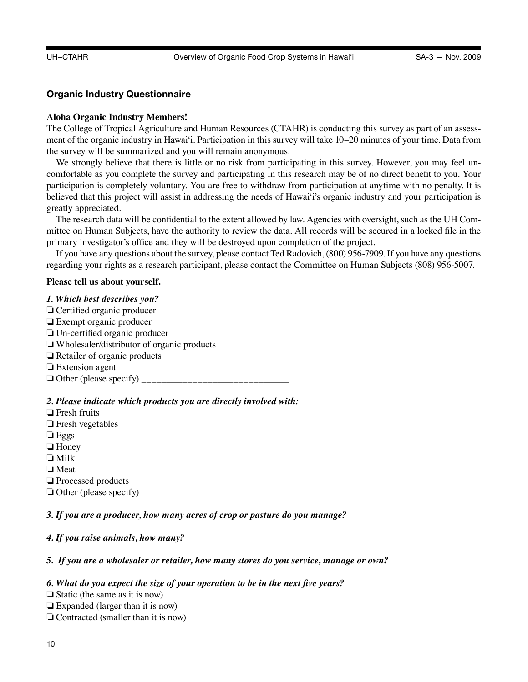#### **Organic Industry Questionnaire**

#### **Aloha Organic Industry Members!**

The College of Tropical Agriculture and Human Resources (CTAHR) is conducting this survey as part of an assessment of the organic industry in Hawai'i. Participation in this survey will take 10–20 minutes of your time. Data from the survey will be summarized and you will remain anonymous.

We strongly believe that there is little or no risk from participating in this survey. However, you may feel uncomfortable as you complete the survey and participating in this research may be of no direct benefit to you. Your participation is completely voluntary. You are free to withdraw from participation at anytime with no penalty. It is believed that this project will assist in addressing the needs of Hawai'i's organic industry and your participation is greatly appreciated.

The research data will be confidential to the extent allowed by law. Agencies with oversight, such as the UH Committee on Human Subjects, have the authority to review the data. All records will be secured in a locked file in the primary investigator's office and they will be destroyed upon completion of the project.

If you have any questions about the survey, please contact Ted Radovich, (800) 956-7909. If you have any questions regarding your rights as a research participant, please contact the Committee on Human Subjects (808) 956-5007.

#### **Please tell us about yourself.**

#### *1. Which best describes you?*

- ❏ Certified organic producer ❏ Exempt organic producer ❏ Un-certified organic producer ❏ Wholesaler/distributor of organic products ❏ Retailer of organic products **□** Extension agent ❏ Other (please specify) \_\_\_\_\_\_\_\_\_\_\_\_\_\_\_\_\_\_\_\_\_\_\_\_\_\_\_\_\_ *2. Please indicate which products you are directly involved with:*
- ❏ Fresh fruits **□** Fresh vegetables ❏ Eggs □ Honey ❏ Milk ❏ Meat ❏ Processed products ❏ Other (please specify) \_\_\_\_\_\_\_\_\_\_\_\_\_\_\_\_\_\_\_\_\_\_\_\_\_\_

*3. If you are a producer, how many acres of crop or pasture do you manage?*

#### *4. If you raise animals, how many?*

#### *5. If you are a wholesaler or retailer, how many stores do you service, manage or own?*

#### *6. What do you expect the size of your operation to be in the next five years?*

 $\Box$  Static (the same as it is now)

- $\Box$  Expanded (larger than it is now)
- $\Box$  Contracted (smaller than it is now)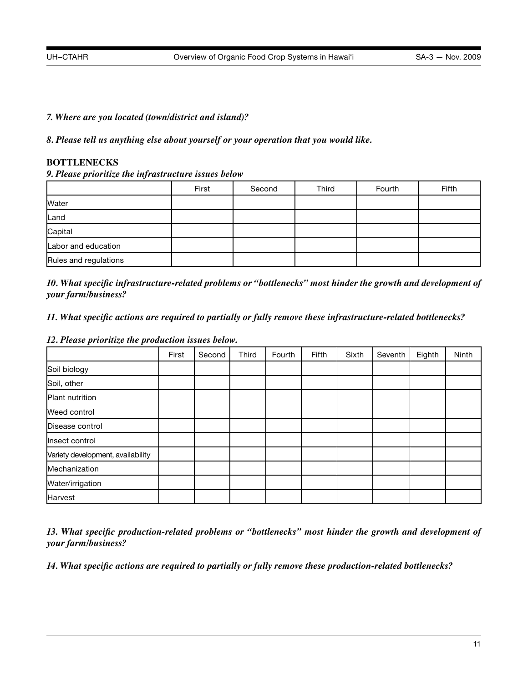### *7. Where are you located (town/district and island)?*

*8. Please tell us anything else about yourself or your operation that you would like.*

### **BOTTLENECKS**

### *9. Please prioritize the infrastructure issues below*

|                       | First | Second | Third | Fourth | Fifth |
|-----------------------|-------|--------|-------|--------|-------|
| Water                 |       |        |       |        |       |
| Land                  |       |        |       |        |       |
| Capital               |       |        |       |        |       |
| Labor and education   |       |        |       |        |       |
| Rules and regulations |       |        |       |        |       |

*10. What specific infrastructure-related problems or "bottlenecks" most hinder the growth and development of your farm/business?*

## *11. What specific actions are required to partially or fully remove these infrastructure-related bottlenecks?*

#### *12. Please prioritize the production issues below.*

|                                   | First | Second | Third | Fourth | Fifth | Sixth | Seventh | Eighth | Ninth |
|-----------------------------------|-------|--------|-------|--------|-------|-------|---------|--------|-------|
| Soil biology                      |       |        |       |        |       |       |         |        |       |
| Soil, other                       |       |        |       |        |       |       |         |        |       |
| Plant nutrition                   |       |        |       |        |       |       |         |        |       |
| Weed control                      |       |        |       |        |       |       |         |        |       |
| Disease control                   |       |        |       |        |       |       |         |        |       |
| Insect control                    |       |        |       |        |       |       |         |        |       |
| Variety development, availability |       |        |       |        |       |       |         |        |       |
| Mechanization                     |       |        |       |        |       |       |         |        |       |
| Water/irrigation                  |       |        |       |        |       |       |         |        |       |
| <b>Harvest</b>                    |       |        |       |        |       |       |         |        |       |

*13. What specific production-related problems or "bottlenecks" most hinder the growth and development of your farm/business?*

*14. What specific actions are required to partially or fully remove these production-related bottlenecks?*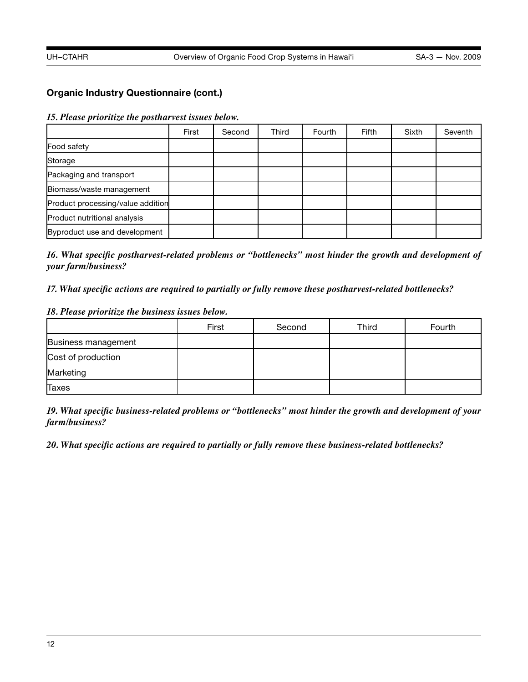# **Organic Industry Questionnaire (cont.)**

*15. Please prioritize the postharvest issues below.*

|                                   | First | Second | Third | Fourth | <b>Fifth</b> | Sixth | Seventh |
|-----------------------------------|-------|--------|-------|--------|--------------|-------|---------|
| Food safety                       |       |        |       |        |              |       |         |
| Storage                           |       |        |       |        |              |       |         |
| Packaging and transport           |       |        |       |        |              |       |         |
| Biomass/waste management          |       |        |       |        |              |       |         |
| Product processing/value addition |       |        |       |        |              |       |         |
| Product nutritional analysis      |       |        |       |        |              |       |         |
| Byproduct use and development     |       |        |       |        |              |       |         |

*16. What specific postharvest-related problems or "bottlenecks" most hinder the growth and development of your farm/business?*

*17. What specific actions are required to partially or fully remove these postharvest-related bottlenecks?*

#### *18. Please prioritize the business issues below.*

|                     | First | Second | Third | Fourth |
|---------------------|-------|--------|-------|--------|
| Business management |       |        |       |        |
| Cost of production  |       |        |       |        |
| Marketing           |       |        |       |        |
| Taxes               |       |        |       |        |

*19. What specific business-related problems or "bottlenecks" most hinder the growth and development of your farm/business?*

*20. What specific actions are required to partially or fully remove these business-related bottlenecks?*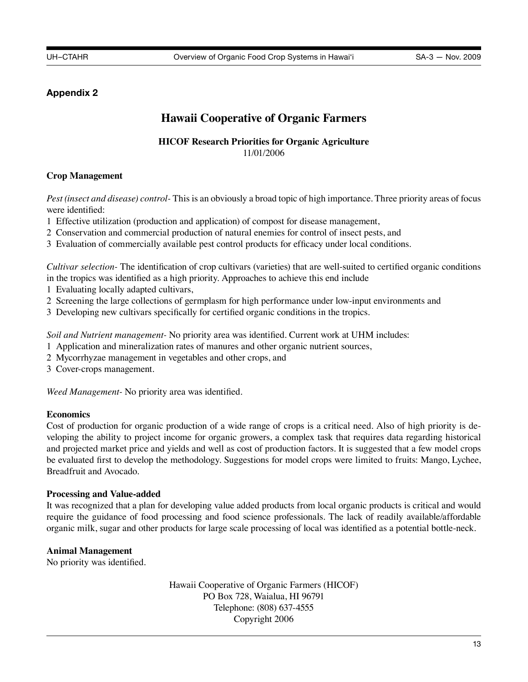# **Appendix 2**

# **Hawaii Cooperative of Organic Farmers**

# **HICOF Research Priorities for Organic Agriculture** 11/01/2006

# **Crop Management**

*Pest (insect and disease) control-* This is an obviously a broad topic of high importance. Three priority areas of focus were identified:

- 1 Effective utilization (production and application) of compost for disease management,
- 2 Conservation and commercial production of natural enemies for control of insect pests, and
- 3 Evaluation of commercially available pest control products for efficacy under local conditions.

*Cultivar selection-* The identification of crop cultivars (varieties) that are well-suited to certified organic conditions in the tropics was identified as a high priority. Approaches to achieve this end include

- 1 Evaluating locally adapted cultivars,
- 2 Screening the large collections of germplasm for high performance under low-input environments and
- 3 Developing new cultivars specifically for certified organic conditions in the tropics.

*Soil and Nutrient management-* No priority area was identified. Current work at UHM includes:

- 1 Application and mineralization rates of manures and other organic nutrient sources,
- 2 Mycorrhyzae management in vegetables and other crops, and
- 3 Cover-crops management.

*Weed Management-* No priority area was identified.

#### **Economics**

Cost of production for organic production of a wide range of crops is a critical need. Also of high priority is developing the ability to project income for organic growers, a complex task that requires data regarding historical and projected market price and yields and well as cost of production factors. It is suggested that a few model crops be evaluated first to develop the methodology. Suggestions for model crops were limited to fruits: Mango, Lychee, Breadfruit and Avocado.

#### **Processing and Value-added**

It was recognized that a plan for developing value added products from local organic products is critical and would require the guidance of food processing and food science professionals. The lack of readily available/affordable organic milk, sugar and other products for large scale processing of local was identified as a potential bottle-neck.

# **Animal Management**

No priority was identified.

Hawaii Cooperative of Organic Farmers (HICOF) PO Box 728, Waialua, HI 96791 Telephone: (808) 637-4555 Copyright 2006